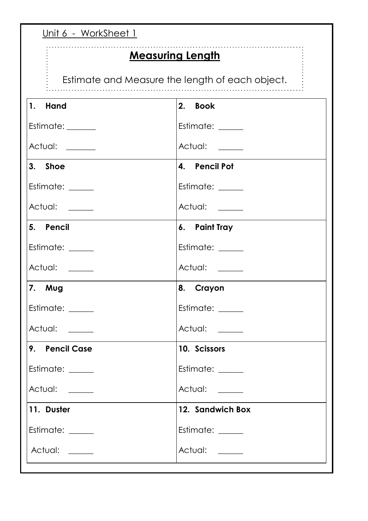| <u>Unit 6 - WorkSheet 1</u>                                                |                  |  |
|----------------------------------------------------------------------------|------------------|--|
| <b>Measuring Length</b><br>Estimate and Measure the length of each object. |                  |  |
| 1. Hand                                                                    | 2. Book          |  |
| Estimate: ______                                                           | Estimate: _____  |  |
| Actual: ______                                                             | Actual: _____    |  |
| 3. Shoe                                                                    | 4. Pencil Pot    |  |
| Estimate: _____                                                            | Estimate: _____  |  |
| Actual: ____                                                               | Actual: _____    |  |
| 5. Pencil                                                                  | 6. Paint Tray    |  |
| Estimate: _____                                                            | Estimate: _____  |  |
| Actual: ____                                                               | Actual: _____    |  |
| 7. Mug                                                                     | 8. Crayon        |  |
| Estimate: _____                                                            | Estimate: _____  |  |
| Actual: _____                                                              | Actual: _____    |  |
| 9. Pencil Case                                                             | 10. Scissors     |  |
| Estimate: _____                                                            | Estimate: _____  |  |
| Actual: _____                                                              | Actual: _____    |  |
| 11. Duster                                                                 | 12. Sandwich Box |  |
| Estimate: _____                                                            | Estimate: _____  |  |
| Actual: ____                                                               | Actual: _____    |  |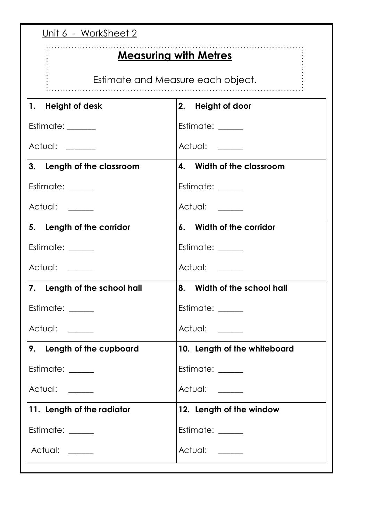| <u>Unit 6 - WorkSheet 2</u>            |                              |  |
|----------------------------------------|------------------------------|--|
| <b>Measuring with Metres</b>           |                              |  |
| Estimate and Measure each object.      |                              |  |
| 1. Height of desk                      | 2. Height of door            |  |
| Estimate: ______                       | Estimate:                    |  |
| Actual: ______                         | Actual: _____                |  |
| 3. Length of the classroom             | 4. Width of the classroom    |  |
| Estimate: _____                        | Estimate: ____               |  |
| Actual: <u>New York Charles Actual</u> | Actual: _____                |  |
| 5. Length of the corridor              | 6. Width of the corridor     |  |
| Estimate: _____                        | Estimate: _____              |  |
| Actual: _____                          | Actual: ____                 |  |
| 7. Length of the school hall           | 8. Width of the school hall  |  |
| Estimate: _____                        | Estimate: _____              |  |
| Actual: _____                          | Actual: _____                |  |
| 9. Length of the cupboard              | 10. Length of the whiteboard |  |
| Estimate: _____                        | Estimate: _____              |  |
| Actual: ____                           | Actual: _____                |  |
| 11. Length of the radiator             | 12. Length of the window     |  |
| Estimate: _____                        | Estimate: _____              |  |
| Actual: ____                           | Actual: _____                |  |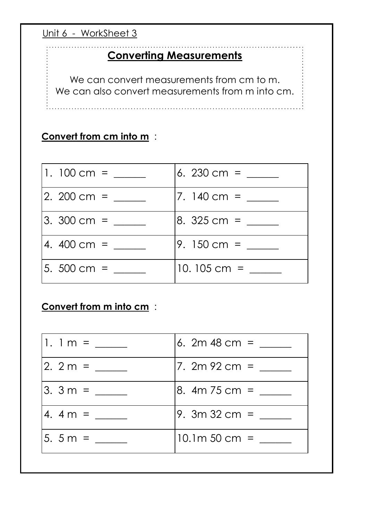Unit 6 - WorkSheet 3

#### **Converting Measurements**

We can convert measurements from cm to m. We can also convert measurements from m into cm.

## **Convert from cm into m** :

| 1. $100 \text{ cm} =$ | 6. 230 cm =              |
|-----------------------|--------------------------|
| $12.200 cm =$         | $7.140 \, \mathrm{cm} =$ |
| $3.300 cm =$          | 8. $325 \text{ cm} =$    |
| 4. $400 \text{ cm} =$ | 9. $150 \text{ cm} =$    |
| 5. $500 \text{ cm} =$ | 10.105 cm $=$            |

#### **Convert from m into cm** :

| 6. 2m 48 cm = $\frac{ }{ }$ |
|-----------------------------|
| 7. 2m 92 cm = $\frac{ }{ }$ |
| 8. $4m$ 75 cm =             |
| 9. $3m32 \, \text{cm} =$    |
| $10.1m 50 cm =$             |
|                             |